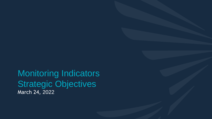**Chicate die Objective** Judi<del>c</del>yk<br>hrsk 34.300 Monitoring Indicators Strategic Objectives March 24, 2022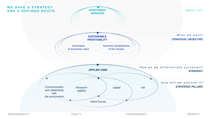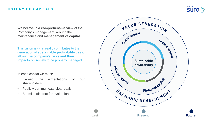#### **HISTORY OF CAPITALS**



We believe in a **comprehensive view** of the Company's management, around the maintenance and **management of capital** .

This vision is what really contributes to the generation of **sustainable profitability** , as it allows **the company's risks and their impacts** on society to be properly managed. **Sustainable Sustainable** 

In each capital we must:

- Exceed the expectations of our shareholders
- Publicly communicate clear goals
- Submit indicators for evaluation

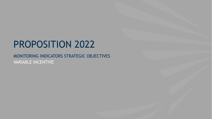# PROPOSITION 2022

### MONITORING INDICATORS STRATEGIC OBJECTIVES VARIABLE INCENTIVE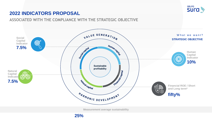

### **ASSOCIATED WITH THE COMPLIANCE WITH THE STRATEGIC OBJECTIVE**



**Measurement average sustainability** 

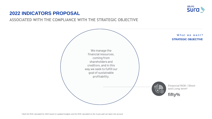

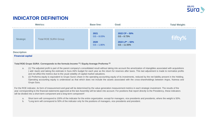

|           | <b>Metrics:</b>             | <b>Base line:</b>                             | Goal:                                                                               | <b>Total Weight:</b> |
|-----------|-----------------------------|-----------------------------------------------|-------------------------------------------------------------------------------------|----------------------|
| Strategic | <b>Total ROE SURA Group</b> | 2021<br>$GS - 8.03%$<br>2020<br>$GS - 1.80\%$ | $2022$ CP $-50\%$<br>$GS - 8.73%$<br>$2022$ LP <sup>*</sup> - 50%<br>$GS - 11.55\%$ | fifty%               |

#### **Description**

#### **Financial capital**

#### **Total ROE Grupo SURA: Corresponds to the formula Income (1) / Equity Average Proforma (2)**

- a. (1) The adjusted profit is part of the parent company's consolidated result without taking into account the amortization of intangibles associated with acquisitions ( add -back) and taking the estimate in Sura AM's budget for each year as the return for reserves after taxes. This last adjustment is made to normalize profits and not affect the metrics due to the usual volatility of capital market valuations.
- b. (2) Proforma equity is equivalent to Grupo Sura's share in the operating accounting equity of its investments, reduced by the net liability present in the Holding. Operating accounting equity is understood as that which does not include the assets associated with the cross-shareholdings between Argos, Nutresa and Grupo Sura.

For the ROE indicator, its form of measurement and goal will be determined by the value generation measurement metrics in each strategic investment. The results of the year corresponding to the financial statements approved at the last Assembly will be taken into account. For positions that report directly to the Presidency, these indicators will be divided into a short-term component and a long-term component\*.

- a. Short term will correspond to 100% of the indicator for the entire organization, except for managers, vice presidents and presidents, where the weight is 50%.
- b. \*Long term will correspond to 50% of the indicator only for the positions of managers, vice presidents and president.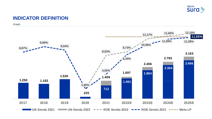

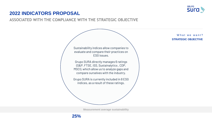

**ASSOCIATED WITH THE COMPLIANCE WITH THE STRATEGIC OBJECTIVE**

Sustainability indices allow companies to evaluate and compare their practices on ESG issues. Grupo SURA directly manages 6 ratings (S&P, FTSE, ISS, Sustainalytics , CDP, MSCI), which allow us to analyze gaps and compare ourselves with the industry. Grupo SURA is currently included in 8 ESG indices, as a result of these ratings.

What we want? **STRATEGIC OBJECTIVE**

**Measurement average sustainability** 

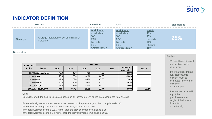

|           | <b>Metrics:</b>                                     | <b>Base line:</b>                                                                                                                 | Goal:                                                                                                                   |                                                            | <b>Total Weight:</b> |
|-----------|-----------------------------------------------------|-----------------------------------------------------------------------------------------------------------------------------------|-------------------------------------------------------------------------------------------------------------------------|------------------------------------------------------------|----------------------|
| Strategic | Average measurement of sustainability<br>indicators | <b>Qualification</b><br>sustainalytics<br><b>S&amp;P</b><br><b>MSCI</b><br><b>ISSRESG</b><br><b>FTSE</b><br><b>Average: 59.30</b> | <b>Qualification</b><br>sustainalytics<br>S&P<br><b>MSCI</b><br><b>ISSR ESG</b><br><b>FTSE</b><br><b>Average: 62.27</b> | Weight<br>22%<br>25%<br>twenty%<br>18%<br>fifteen%<br>100% | 25%                  |

#### **Description**

| Peso en el                                                                                                       | <b>PUNTAJE</b>          |       |                                                                                                                                                                             |       |       |      |                                                                        | qualifications f |                                    |
|------------------------------------------------------------------------------------------------------------------|-------------------------|-------|-----------------------------------------------------------------------------------------------------------------------------------------------------------------------------|-------|-------|------|------------------------------------------------------------------------|------------------|------------------------------------|
| índice                                                                                                           | <b>Indice</b>           | 2018  | 2019                                                                                                                                                                        | 2020  | 2021  | 2022 | Aumento<br>promedio                                                    | <b>META</b>      | calculation.                       |
|                                                                                                                  | 22.24% Sustainalytics   | 47.9  | 43.3                                                                                                                                                                        | 47.10 | 47.60 |      | 0.53%                                                                  |                  | • If there are les                 |
| 25.17% S&P                                                                                                       |                         | 79.0  | 73.0                                                                                                                                                                        | 82.00 | 80.00 |      | $-1.23%$                                                               |                  | qualifications,                    |
| 19.92% MSCI                                                                                                      |                         | 47.0  | 57.0                                                                                                                                                                        | 45.00 | 47.00 |      | 2.20%                                                                  |                  | indicator must<br>distributed in t |
|                                                                                                                  | 17.67% <b>ISS ESG</b>   | 50.0  | 50.0                                                                                                                                                                        | 50.00 | 51.04 |      | 1.03%                                                                  |                  | indicators                         |
| 15.00% <b>FTSE</b>                                                                                               |                         | 74.0  | 82.0                                                                                                                                                                        | 66.00 | 68.00 |      | 1.50%                                                                  |                  | proportionally.                    |
|                                                                                                                  | <b>100.00% PROMEDIO</b> | 59.83 | 60.49                                                                                                                                                                       | 58.81 | 59.30 |      | 0.66%                                                                  | 62.27            |                                    |
| Goal:<br>Compliance with the goal is calculated based on an increase of 5% taking into account the total average |                         |       |                                                                                                                                                                             |       |       |      | • If we are not in<br>any of the<br>qualifications,<br>weight of the i |                  |                                    |
|                                                                                                                  |                         |       | If the total weighted score represents a decrease from the previous year, then compliance is 0%<br>If the total weighted grade is the same as last year, compliance is 70%. |       |       |      |                                                                        |                  | distributed<br>proportionally.     |

#### **Goal:**

If the total weighted grade is the same as last year, compliance is 70%.

If the total weighted score is 2.5% higher than the previous year, compliance is 85%.

If the total weighted score is 5% higher than the previous year, compliance is 100%.

#### **Grades:**

- We must have at least 2 qualifications for the calculation.
- If there are less than 2 qualifications, this indicator must be distributed in the other indicators proportionally.
- If we are not included in any of the qualifications, the weight of the index is distributed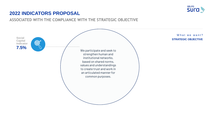

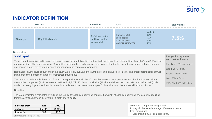

**Ranges for reputation and trust indicators:**

Excellent: 85% and above

Good: 75% – 84%

Low: 55% – 64%

Regular: 65% – 74%

Very low: Less than 55%

# **INDICATOR DEFINITION**

|           | <b>Metrics:</b>    | <b>Base line:</b>                                       | Goal:                                                                                                                         | <b>Total weight:</b> |
|-----------|--------------------|---------------------------------------------------------|-------------------------------------------------------------------------------------------------------------------------------|----------------------|
| Strategic | Capital Indicators | Definition, metrics<br>and baseline for<br>each capital | <b>Weight</b><br>10%<br>Human capital<br>7.5%<br>Social capital<br>7.5%<br>natural capital<br>25%<br><b>CAPITAL INDICATOR</b> | 7.5%                 |

#### **Description**

#### **Social capital**

To measure this capital and to know the perception of those relationships that we build, we consult our stakeholders through Grupo SURA's own reputation study. The performance of 33 variables distributed in six dimensions is evaluated: leadership, soundness, employer brand, product and service quality, environmental social performance and corporate governance.

Reputation is a measure of trust and in this study we directly evaluated the attribute of trust on a scale of 1 to 5. The emotional indicator of trust summarizes the perception that different interest groups have)

The reputation indicator is the result of an ad hoc reputation study in the 10 countries where it has a presence, with the firm Invamer, with a quantitative component (8,293 surveys in 2018 and 22,317 in 2020) and qualitative (183 in-depth interviews). in 2018, and 208 in 2020). It is carried out every 2 years, and results in a rational indicator of reputation made up of 6 dimensions and the emotional indicator of trust.

#### **Base line:**

The latam indicator is calculated by adding the results for each company and country, the weight of each company and each country, resulting from the average between % revenue, % profit and % equity

| Indicador latam | 2018   | 2020   |
|-----------------|--------|--------|
| Confianza       | 86.70% | 89.50% |
| Reputación      | 82.4   | 87.2   |

*Study frequency: every two years*

**Goal:** each component weighs 50% If it stays in the excellent range: 100% compliance If you downgrade: • Less than 84.99% : compliance 0%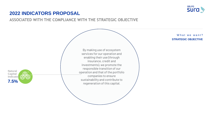

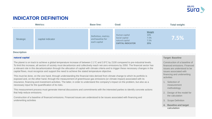

|           | <b>Metrics:</b>   | <b>Base line:</b>                                       | Goal:                                                                                                                         | <b>Total weight:</b> |
|-----------|-------------------|---------------------------------------------------------|-------------------------------------------------------------------------------------------------------------------------------|----------------------|
| Strategic | capital indicator | Definition, metrics<br>and baseline for<br>each capital | <b>Weight</b><br>10%<br>Human capital<br>7.5%<br>Social capital<br>7.5%<br>natural capital<br>25%<br><b>CAPITAL INDICATOR</b> | 7.5%                 |

#### **Description**

#### **natural capital**

The planet is on track to achieve a global temperature increase of between 2.1°C and 3.9°C by 2100 compared to pre-industrial levels. To limit this increase, all sectors of society must decarbonize and collectively reach net-zero emissions by 2050. The financial sector has a relevant role in this decarbonization through the allocation of capital with climate criteria and to trigger these necessary changes in the capital flows, must recognize and support the need to achieve the stated temperature objective.

This must be done, on the one hand, through understanding the financial risks derived from climate change to which its portfolio is exposed and, on the other hand, through the measurement of greenhouse gas emissions (or climate impact) associated with its insurance, financing and investment activities. The latter, in order to understand the company's impact on the problem, but also as a necessary input for the quantification of its risks.

This measurement process must generate internal discussions and commitments with the interested parties to identify concrete actions that help reduce emissions.

Construction of a baseline of financed emissions. Financed issues are understood to be issues associated with financing and underwriting activities

#### **Target: Baseline**

Construction of a baseline of financed emissions. Financed issues are understood to be issues associated with financing and underwriting activities

- 1. Selection of measurement methodology
- 2. Design of the model for the calculation
- 3. Scope Definition
- **4. Baseline and target calculation**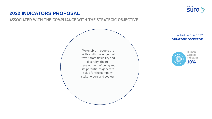

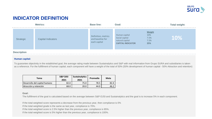

|                    | <b>Metrics:</b>    | <b>Base line:</b>                                       | Goal:                                                                                                                         | <b>Total weight:</b> |
|--------------------|--------------------|---------------------------------------------------------|-------------------------------------------------------------------------------------------------------------------------------|----------------------|
| Strategic          | Capital Indicators | Definition, metrics<br>and baseline for<br>each capital | <b>Weight</b><br>10%<br>Human capital<br>Social capital<br>7.5%<br>natural capital<br>7.5%<br>25%<br><b>CAPITAL INDICATOR</b> | $ 10\% $             |
| <b>Description</b> |                    |                                                         |                                                                                                                               |                      |

### **Human capital:**

To guarantee objectivity in the established goal, the average rating made between Sustainalytics and S&P with real information from Grupo SURA and subsidiaries is taken as a reference. For the fulfillment of human capital, each component will have a weight of the total of 50% (50% development of human capital - 50% Attraction and retention)

| Tema                          | <b>S&amp;P DJSI</b><br>2021 | <b>Sustainalytics</b><br>2021 | Promedio | Meta |
|-------------------------------|-----------------------------|-------------------------------|----------|------|
| Desarrollo del capital humano | 82.0                        | 75.0                          | 78.5     | 82.4 |
| Atracción y retención         | 68.0                        | 20.0                          | 44.0     | 46.∠ |

#### **Goal:**

The fulfillment of the goal is calculated based on the average between S&P-DJSI and Sustainalytics and the goal is to increase 5% in each component.

If the total weighted score represents a decrease from the previous year, then compliance is 0%

If the total weighted grade is the same as last year, compliance is 70%.

If the total weighted score is 2.5% higher than the previous year, compliance is 85%.

If the total weighted score is 5% higher than the previous year, compliance is 100%.